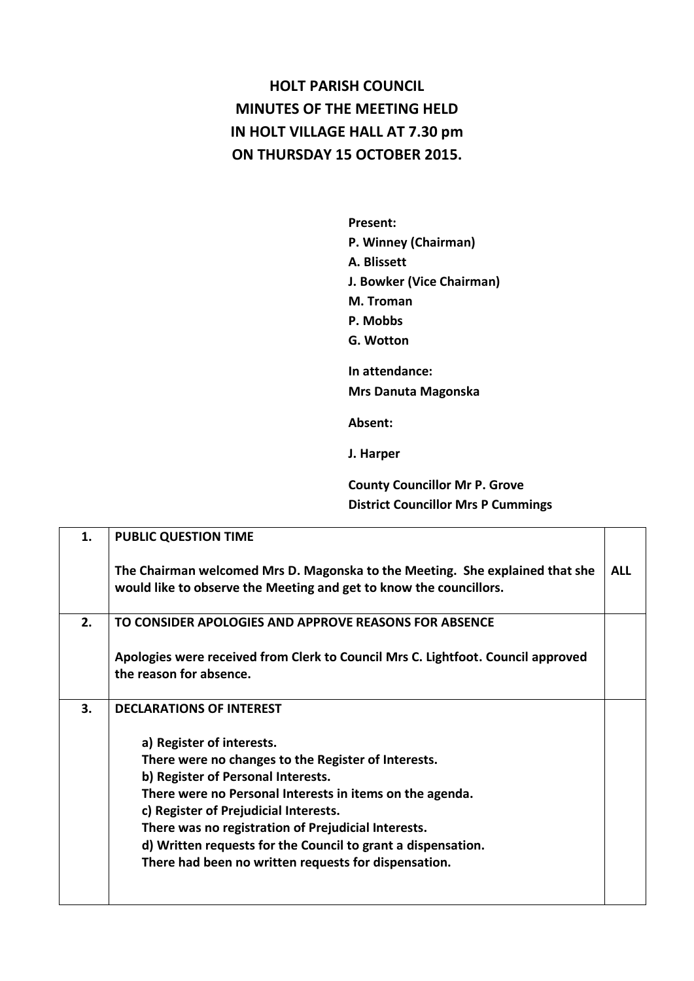## **HOLT PARISH COUNCIL MINUTES OF THE MEETING HELD IN HOLT VILLAGE HALL AT 7.30 pm ON THURSDAY 15 OCTOBER 2015.**

**Present: P. Winney (Chairman) A. Blissett J. Bowker (Vice Chairman) M. Troman P. Mobbs G. Wotton In attendance:** 

**Mrs Danuta Magonska**

**Absent:** 

**J. Harper**

**County Councillor Mr P. Grove District Councillor Mrs P Cummings**

| 1. | <b>PUBLIC QUESTION TIME</b>                                                                                                                        |            |
|----|----------------------------------------------------------------------------------------------------------------------------------------------------|------------|
|    | The Chairman welcomed Mrs D. Magonska to the Meeting. She explained that she<br>would like to observe the Meeting and get to know the councillors. | <b>ALL</b> |
| 2. | TO CONSIDER APOLOGIES AND APPROVE REASONS FOR ABSENCE                                                                                              |            |
|    | Apologies were received from Clerk to Council Mrs C. Lightfoot. Council approved<br>the reason for absence.                                        |            |
| 3. | <b>DECLARATIONS OF INTEREST</b>                                                                                                                    |            |
|    | a) Register of interests.                                                                                                                          |            |
|    | There were no changes to the Register of Interests.                                                                                                |            |
|    | b) Register of Personal Interests.                                                                                                                 |            |
|    | There were no Personal Interests in items on the agenda.<br>c) Register of Prejudicial Interests.                                                  |            |
|    | There was no registration of Prejudicial Interests.                                                                                                |            |
|    | d) Written requests for the Council to grant a dispensation.                                                                                       |            |
|    | There had been no written requests for dispensation.                                                                                               |            |
|    |                                                                                                                                                    |            |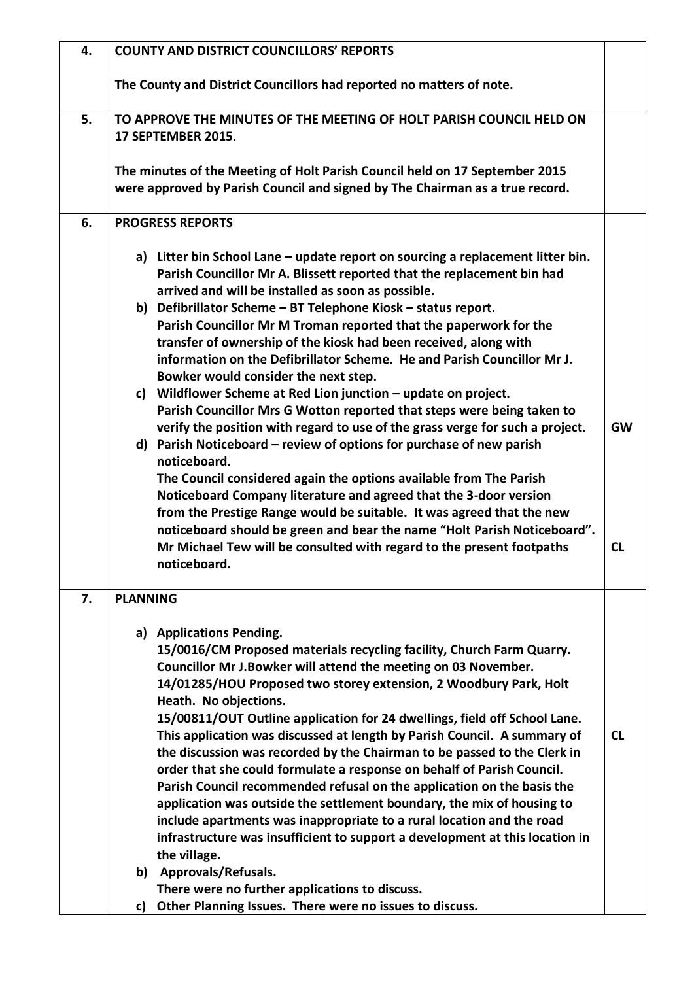| 4. | <b>COUNTY AND DISTRICT COUNCILLORS' REPORTS</b>                                                                                                                                                                                                                                                                                                                                                                                                                                                                                                                                                                                                                                                                                                                                                                                                                                                                                                                                                                                                                                                                                                                                                                                                            |                 |
|----|------------------------------------------------------------------------------------------------------------------------------------------------------------------------------------------------------------------------------------------------------------------------------------------------------------------------------------------------------------------------------------------------------------------------------------------------------------------------------------------------------------------------------------------------------------------------------------------------------------------------------------------------------------------------------------------------------------------------------------------------------------------------------------------------------------------------------------------------------------------------------------------------------------------------------------------------------------------------------------------------------------------------------------------------------------------------------------------------------------------------------------------------------------------------------------------------------------------------------------------------------------|-----------------|
|    | The County and District Councillors had reported no matters of note.                                                                                                                                                                                                                                                                                                                                                                                                                                                                                                                                                                                                                                                                                                                                                                                                                                                                                                                                                                                                                                                                                                                                                                                       |                 |
| 5. | TO APPROVE THE MINUTES OF THE MEETING OF HOLT PARISH COUNCIL HELD ON<br><b>17 SEPTEMBER 2015.</b>                                                                                                                                                                                                                                                                                                                                                                                                                                                                                                                                                                                                                                                                                                                                                                                                                                                                                                                                                                                                                                                                                                                                                          |                 |
|    | The minutes of the Meeting of Holt Parish Council held on 17 September 2015<br>were approved by Parish Council and signed by The Chairman as a true record.                                                                                                                                                                                                                                                                                                                                                                                                                                                                                                                                                                                                                                                                                                                                                                                                                                                                                                                                                                                                                                                                                                |                 |
| 6. | <b>PROGRESS REPORTS</b>                                                                                                                                                                                                                                                                                                                                                                                                                                                                                                                                                                                                                                                                                                                                                                                                                                                                                                                                                                                                                                                                                                                                                                                                                                    |                 |
|    | a) Litter bin School Lane – update report on sourcing a replacement litter bin.<br>Parish Councillor Mr A. Blissett reported that the replacement bin had<br>arrived and will be installed as soon as possible.<br>b) Defibrillator Scheme - BT Telephone Kiosk - status report.<br>Parish Councillor Mr M Troman reported that the paperwork for the<br>transfer of ownership of the kiosk had been received, along with<br>information on the Defibrillator Scheme. He and Parish Councillor Mr J.<br>Bowker would consider the next step.<br>c) Wildflower Scheme at Red Lion junction - update on project.<br>Parish Councillor Mrs G Wotton reported that steps were being taken to<br>verify the position with regard to use of the grass verge for such a project.<br>d) Parish Noticeboard – review of options for purchase of new parish<br>noticeboard.<br>The Council considered again the options available from The Parish<br>Noticeboard Company literature and agreed that the 3-door version<br>from the Prestige Range would be suitable. It was agreed that the new<br>noticeboard should be green and bear the name "Holt Parish Noticeboard".<br>Mr Michael Tew will be consulted with regard to the present footpaths<br>noticeboard. | <b>GW</b><br>CL |
| 7. | <b>PLANNING</b>                                                                                                                                                                                                                                                                                                                                                                                                                                                                                                                                                                                                                                                                                                                                                                                                                                                                                                                                                                                                                                                                                                                                                                                                                                            |                 |
|    | a) Applications Pending.<br>15/0016/CM Proposed materials recycling facility, Church Farm Quarry.<br>Councillor Mr J.Bowker will attend the meeting on 03 November.<br>14/01285/HOU Proposed two storey extension, 2 Woodbury Park, Holt<br>Heath. No objections.<br>15/00811/OUT Outline application for 24 dwellings, field off School Lane.<br>This application was discussed at length by Parish Council. A summary of<br>the discussion was recorded by the Chairman to be passed to the Clerk in<br>order that she could formulate a response on behalf of Parish Council.<br>Parish Council recommended refusal on the application on the basis the<br>application was outside the settlement boundary, the mix of housing to<br>include apartments was inappropriate to a rural location and the road<br>infrastructure was insufficient to support a development at this location in<br>the village.<br>b) Approvals/Refusals.                                                                                                                                                                                                                                                                                                                    | <b>CL</b>       |
|    | There were no further applications to discuss.<br>Other Planning Issues. There were no issues to discuss.<br>c)                                                                                                                                                                                                                                                                                                                                                                                                                                                                                                                                                                                                                                                                                                                                                                                                                                                                                                                                                                                                                                                                                                                                            |                 |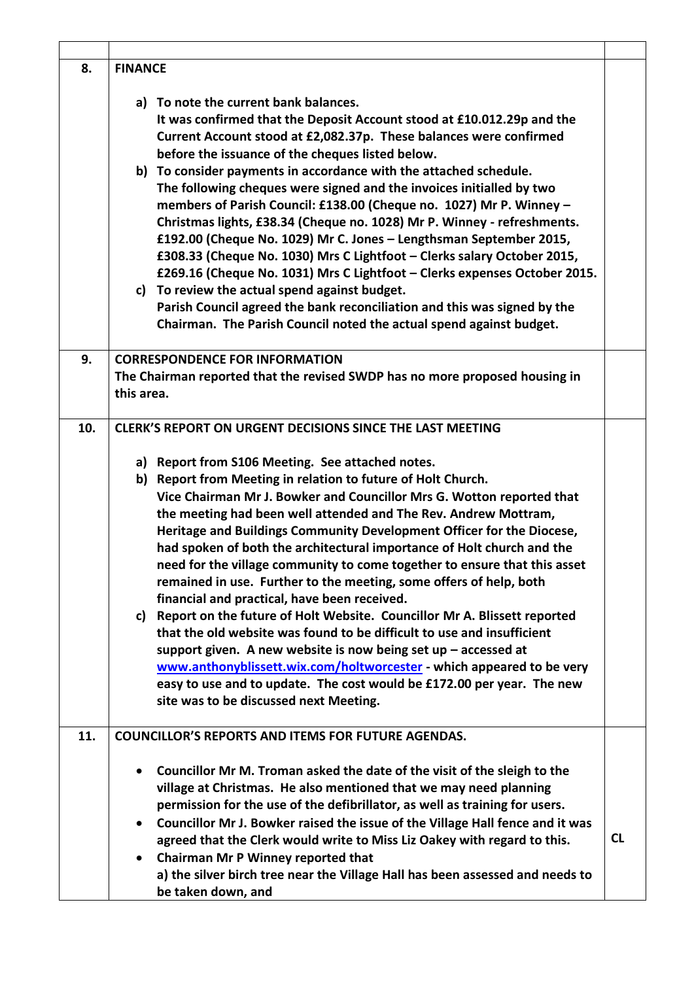| 8.  | <b>FINANCE</b>                                                                                                                                                                                                                                                                                                                                                                                                                                                                                                                                                                                                                                                                                                                                                                                                                                                                                                                                                                                                                                                                                                   |           |
|-----|------------------------------------------------------------------------------------------------------------------------------------------------------------------------------------------------------------------------------------------------------------------------------------------------------------------------------------------------------------------------------------------------------------------------------------------------------------------------------------------------------------------------------------------------------------------------------------------------------------------------------------------------------------------------------------------------------------------------------------------------------------------------------------------------------------------------------------------------------------------------------------------------------------------------------------------------------------------------------------------------------------------------------------------------------------------------------------------------------------------|-----------|
|     | a) To note the current bank balances.<br>It was confirmed that the Deposit Account stood at £10.012.29p and the<br>Current Account stood at £2,082.37p. These balances were confirmed<br>before the issuance of the cheques listed below.<br>b) To consider payments in accordance with the attached schedule.<br>The following cheques were signed and the invoices initialled by two<br>members of Parish Council: £138.00 (Cheque no. 1027) Mr P. Winney -<br>Christmas lights, £38.34 (Cheque no. 1028) Mr P. Winney - refreshments.<br>£192.00 (Cheque No. 1029) Mr C. Jones - Lengthsman September 2015,<br>£308.33 (Cheque No. 1030) Mrs C Lightfoot - Clerks salary October 2015,<br>£269.16 (Cheque No. 1031) Mrs C Lightfoot - Clerks expenses October 2015.<br>c) To review the actual spend against budget.<br>Parish Council agreed the bank reconciliation and this was signed by the<br>Chairman. The Parish Council noted the actual spend against budget.                                                                                                                                       |           |
| 9.  | <b>CORRESPONDENCE FOR INFORMATION</b><br>The Chairman reported that the revised SWDP has no more proposed housing in<br>this area.                                                                                                                                                                                                                                                                                                                                                                                                                                                                                                                                                                                                                                                                                                                                                                                                                                                                                                                                                                               |           |
| 10. | <b>CLERK'S REPORT ON URGENT DECISIONS SINCE THE LAST MEETING</b><br>a) Report from S106 Meeting. See attached notes.<br>b) Report from Meeting in relation to future of Holt Church.<br>Vice Chairman Mr J. Bowker and Councillor Mrs G. Wotton reported that<br>the meeting had been well attended and The Rev. Andrew Mottram,<br>Heritage and Buildings Community Development Officer for the Diocese,<br>had spoken of both the architectural importance of Holt church and the<br>need for the village community to come together to ensure that this asset<br>remained in use. Further to the meeting, some offers of help, both<br>financial and practical, have been received.<br>c) Report on the future of Holt Website. Councillor Mr A. Blissett reported<br>that the old website was found to be difficult to use and insufficient<br>support given. A new website is now being set up $-$ accessed at<br>www.anthonyblissett.wix.com/holtworcester - which appeared to be very<br>easy to use and to update. The cost would be £172.00 per year. The new<br>site was to be discussed next Meeting. |           |
| 11. | <b>COUNCILLOR'S REPORTS AND ITEMS FOR FUTURE AGENDAS.</b><br>Councillor Mr M. Troman asked the date of the visit of the sleigh to the<br>village at Christmas. He also mentioned that we may need planning<br>permission for the use of the defibrillator, as well as training for users.<br>Councillor Mr J. Bowker raised the issue of the Village Hall fence and it was<br>agreed that the Clerk would write to Miss Liz Oakey with regard to this.<br>Chairman Mr P Winney reported that<br>a) the silver birch tree near the Village Hall has been assessed and needs to<br>be taken down, and                                                                                                                                                                                                                                                                                                                                                                                                                                                                                                              | <b>CL</b> |